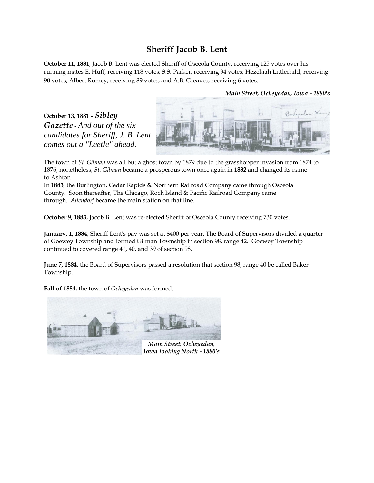## **Sheriff Jacob B. Lent**

**October 11, 1881**, Jacob B. Lent was elected Sheriff of Osceola County, receiving 125 votes over his running mates E. Huff, receiving 118 votes; S.S. Parker, receiving 94 votes; Hezekiah Littlechild, receiving 90 votes, Albert Romey, receiving 89 votes, and A.B. Greaves, receiving 6 votes.

*Main Street, Ocheyedan, Iowa - 1880's*

**October 13, 1881 -** *Sibley Gazette* - *And out of the six candidates for Sheriff, J. B. Lent comes out a "Leetle" ahead.*



The town of *St. Gilman* was all but a ghost town by 1879 due to the grasshopper invasion from 1874 to 1876; nonetheless, *St. Gilman* became a prosperous town once again in **1882** and changed its name to Ashton

In **1883**, the Burlington, Cedar Rapids & Northern Railroad Company came through Osceola County. Soon thereafter, The Chicago, Rock Island & Pacific Railroad Company came through. *Allendorf* became the main station on that line.

**October 9, 1883**, Jacob B. Lent was re-elected Sheriff of Osceola County receiving 730 votes.

**January, 1, 1884**, Sheriff Lent's pay was set at \$400 per year. The Board of Supervisors divided a quarter of Goewey Township and formed Gilman Township in section 98, range 42. Goewey Township continued to covered range 41, 40, and 39 of section 98.

**June 7, 1884**, the Board of Supervisors passed a resolution that section 98, range 40 be called Baker Township.

**Fall of 1884**, the town of *Ocheyedan* was formed.